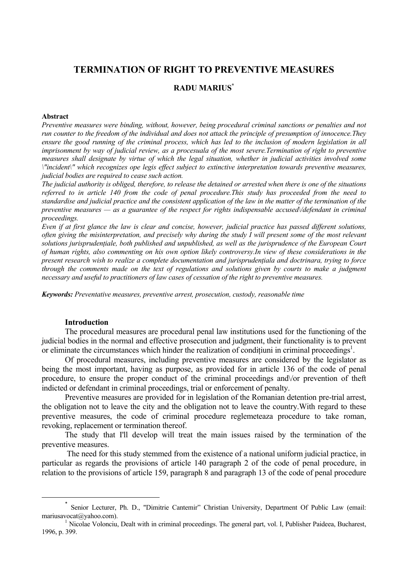# **TERMINATION OF RIGHT TO PREVENTIVE MEASURES**

### **RADU MARIUS\***

#### **Abstract**

*Preventive measures were binding, without, however, being procedural criminal sanctions or penalties and not run counter to the freedom of the individual and does not attack the principle of presumption of innocence.They*  ensure the good running of the criminal process, which has led to the inclusion of modern legislation in all *imprisonment by way of judicial review, as a procesuala of the most severe.Termination of right to preventive measures shall designate by virtue of which the legal situation, whether in judicial activities involved some \"incident\" which recognizes ope legis effect subject to extinctive interpretation towards preventive measures, judicial bodies are required to cease such action.* 

*The judicial authority is obliged, therefore, to release the detained or arrested when there is one of the situations referred to in article 140 from the code of penal procedure.This study has proceeded from the need to standardise and judicial practice and the consistent application of the law in the matter of the termination of the preventive measures — as a guarantee of the respect for rights indispensable accused\/defendant in criminal proceedings.* 

*Even if at first glance the law is clear and concise, however, judicial practice has passed different solutions, often giving the misinterpretation, and precisely why during the study I will present some of the most relevant solutions jurisprudenţiale, both published and unpublished, as well as the jurisprudence of the European Court of human rights, also commenting on his own option likely controversy.In view of these considerations in the present research wish to realize a complete documentation and jurisprudenţiala and doctrinara, trying to force through the comments made on the text of regulations and solutions given by courts to make a judgment necessary and useful to practitioners of law cases of cessation of the right to preventive measures.* 

*Keywords: Preventative measures, preventive arrest, prosecution, custody, reasonable time*

#### **Introduction**

 $\overline{a}$ 

The procedural measures are procedural penal law institutions used for the functioning of the judicial bodies in the normal and effective prosecution and judgment, their functionality is to prevent or eliminate the circumstances which hinder the realization of conditiuni in criminal proceedings<sup>1</sup>.

Of procedural measures, including preventive measures are considered by the legislator as being the most important, having as purpose, as provided for in article 136 of the code of penal procedure, to ensure the proper conduct of the criminal proceedings and\/or prevention of theft indicted or defendant in criminal proceedings, trial or enforcement of penalty.

Preventive measures are provided for in legislation of the Romanian detention pre-trial arrest, the obligation not to leave the city and the obligation not to leave the country.With regard to these preventive measures, the code of criminal procedure reglemeteaza procedure to take roman, revoking, replacement or termination thereof.

The study that I'll develop will treat the main issues raised by the termination of the preventive measures.

 The need for this study stemmed from the existence of a national uniform judicial practice, in particular as regards the provisions of article 140 paragraph 2 of the code of penal procedure, in relation to the provisions of article 159, paragraph 8 and paragraph 13 of the code of penal procedure

<sup>\*</sup> Senior Lecturer, Ph. D., "Dimitrie Cantemir" Christian University, Department Of Public Law (email: mariusavocat@yahoo.com).

<sup>&</sup>lt;sup>1</sup> Nicolae Volonciu, Dealt with in criminal proceedings. The general part, vol. I, Publisher Paideea, Bucharest, 1996, p. 399.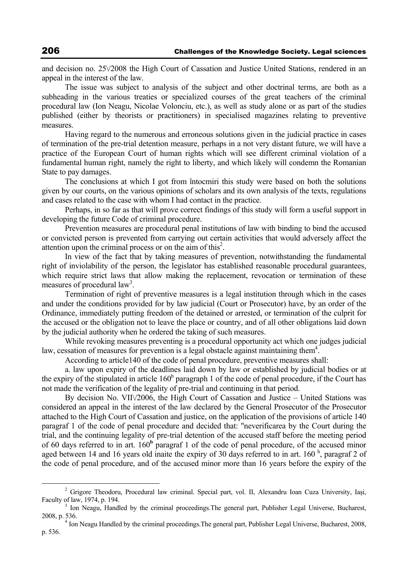and decision no. 25\/2008 the High Court of Cassation and Justice United Stations, rendered in an appeal in the interest of the law.

The issue was subject to analysis of the subject and other doctrinal terms, are both as a subheading in the various treaties or specialized courses of the great teachers of the criminal procedural law (Ion Neagu, Nicolae Volonciu, etc.), as well as study alone or as part of the studies published (either by theorists or practitioners) in specialised magazines relating to preventive measures.

Having regard to the numerous and erroneous solutions given in the judicial practice in cases of termination of the pre-trial detention measure, perhaps in a not very distant future, we will have a practice of the European Court of human rights which will see different criminal violation of a fundamental human right, namely the right to liberty, and which likely will condemn the Romanian State to pay damages.

The conclusions at which I got from întocmiri this study were based on both the solutions given by our courts, on the various opinions of scholars and its own analysis of the texts, regulations and cases related to the case with whom I had contact in the practice.

Perhaps, in so far as that will prove correct findings of this study will form a useful support in developing the future Code of criminal procedure.

Prevention measures are procedural penal institutions of law with binding to bind the accused or convicted person is prevented from carrying out certain activities that would adversely affect the attention upon the criminal process or on the aim of this<sup>2</sup>.

In view of the fact that by taking measures of prevention, notwithstanding the fundamental right of inviolability of the person, the legislator has established reasonable procedural guarantees, which require strict laws that allow making the replacement, revocation or termination of these measures of procedural law<sup>3</sup>.

Termination of right of preventive measures is a legal institution through which in the cases and under the conditions provided for by law judicial (Court or Prosecutor) have, by an order of the Ordinance, immediately putting freedom of the detained or arrested, or termination of the culprit for the accused or the obligation not to leave the place or country, and of all other obligations laid down by the judicial authority when he ordered the taking of such measures.

While revoking measures preventing is a procedural opportunity act which one judges judicial law, cessation of measures for prevention is a legal obstacle against maintaining them<sup>4</sup>.

According to article140 of the code of penal procedure, preventive measures shall:

a. law upon expiry of the deadlines laid down by law or established by judicial bodies or at the expiry of the stipulated in article  $160<sup>b</sup>$  paragraph 1 of the code of penal procedure, if the Court has not made the verification of the legality of pre-trial and continuing in that period.

By decision No. VII $\vee$ 2006, the High Court of Cassation and Justice – United Stations was considered an appeal in the interest of the law declared by the General Prosecutor of the Prosecutor attached to the High Court of Cassation and justice, on the application of the provisions of article 140 paragraf 1 of the code of penal procedure and decided that: "neverificarea by the Court during the trial, and the continuing legality of pre-trial detention of the accused staff before the meeting period of 60 days referred to in art. 160<sup>b</sup> paragraf 1 of the code of penal procedure, of the accused minor aged between 14 and 16 years old inaite the expiry of 30 days referred to in art. 160 $<sup>h</sup>$ , paragraf 2 of</sup> the code of penal procedure, and of the accused minor more than 16 years before the expiry of the

 $\overline{\phantom{a}}$  Grigore Theodoru, Procedural law criminal. Special part, vol. II, Alexandru Ioan Cuza University, Iaşi, Faculty of law, 1974, p. 194.

<sup>&</sup>lt;sup>3</sup> Ion Neagu, Handled by the criminal proceedings. The general part, Publisher Legal Universe, Bucharest, 2008, p. 536. 4

<sup>&</sup>lt;sup>4</sup> Ion Neagu Handled by the criminal proceedings. The general part, Publisher Legal Universe, Bucharest, 2008, p. 536.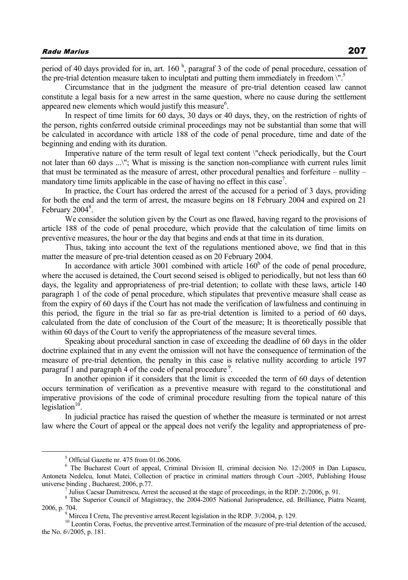period of 40 days provided for in, art. 160 $<sup>h</sup>$ , paragraf 3 of the code of penal procedure, cessation of</sup> the pre-trial detention measure taken to inculptati and putting them immediately in freedom \".5

Circumstance that in the judgment the measure of pre-trial detention ceased law cannot constitute a legal basis for a new arrest in the same question, where no cause during the settlement appeared new elements which would justify this measure<sup>6</sup>.

In respect of time limits for 60 days, 30 days or 40 days, they, on the restriction of rights of the person, rights conferred outside criminal proceedings may not be substantial than some that will be calculated in accordance with article 188 of the code of penal procedure, time and date of the beginning and ending with its duration.

Imperative nature of the term result of legal text content \"check periodically, but the Court not later than 60 days ...\"; What is missing is the sanction non-compliance with current rules limit that must be terminated as the measure of arrest, other procedural penalties and forfeiture – nullity – mandatory time limits applicable in the case of having no effect in this case<sup>7</sup>.

In practice, the Court has ordered the arrest of the accused for a period of 3 days, providing for both the end and the term of arrest, the measure begins on 18 February 2004 and expired on 21 February 2004<sup>8</sup>.

We consider the solution given by the Court as one flawed, having regard to the provisions of article 188 of the code of penal procedure, which provide that the calculation of time limits on preventive measures, the hour or the day that begins and ends at that time in its duration.

Thus, taking into account the text of the regulations mentioned above, we find that in this matter the measure of pre-trial detention ceased as on 20 February 2004.

In accordance with article  $3001$  combined with article  $160<sup>b</sup>$  of the code of penal procedure, where the accused is detained, the Court second seised is obliged to periodically, but not less than 60 days, the legality and appropriateness of pre-trial detention; to collate with these laws, article 140 paragraph 1 of the code of penal procedure, which stipulates that preventive measure shall cease as from the expiry of 60 days if the Court has not made the verification of lawfulness and continuing in this period, the figure in the trial so far as pre-trial detention is limited to a period of 60 days, calculated from the date of conclusion of the Court of the measure; It is theoretically possible that within 60 days of the Court to verify the appropriateness of the measure several times.

Speaking about procedural sanction in case of exceeding the deadline of 60 days in the older doctrine explained that in any event the omission will not have the consequence of termination of the measure of pre-trial detention, the penalty in this case is relative nullity according to article 197 paragraf 1 and paragraph 4 of the code of penal procedure<sup>9</sup>.

In another opinion if it considers that the limit is exceeded the term of 60 days of detention occurs termination of verification as a preventive measure with regard to the constitutional and imperative provisions of the code of criminal procedure resulting from the topical nature of this legislation $10$ .

In judicial practice has raised the question of whether the measure is terminated or not arrest law where the Court of appeal or the appeal does not verify the legality and appropriateness of pre-

 $\frac{1}{5}$  $<sup>5</sup>$  Official Gazette nr. 475 from 01.06.2006.</sup>

<sup>6</sup> The Bucharest Court of appeal, Criminal Division II, criminal decision No. 12\/2005 in Dan Lupascu, Antoneta Nedelcu, Ionut Matei, Collection of practice in criminal matters through Court -2005, Publishing House universe binding, Bucharest,  $2006$ , p.77.

Julius Caesar Dumitrescu, Arrest the accused at the stage of proceedings, in the RDP. 2 $\sqrt{2006}$ , p. 91.

<sup>&</sup>lt;sup>8</sup> The Superior Council of Magistracy, the 2004-2005 National Jurisprudence, ed. Brilliance, Piatra Neamț, 2006, p. 704.<br><sup>9</sup> Mircea I Cretu, The preventive arrest. Recent legislation in the RDP. 3 $\sqrt{2004}$ , p. 129.

<sup>&</sup>lt;sup>10</sup> Leontin Coras, Foetus, the preventive arrest. Termination of the measure of pre-trial detention of the accused, the No. 6\/2005, p. 181.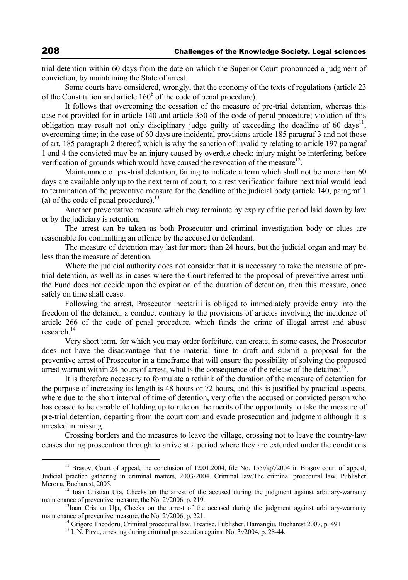trial detention within 60 days from the date on which the Superior Court pronounced a judgment of conviction, by maintaining the State of arrest.

Some courts have considered, wrongly, that the economy of the texts of regulations (article 23 of the Constitution and article  $160<sup>b</sup>$  of the code of penal procedure).

It follows that overcoming the cessation of the measure of pre-trial detention, whereas this case not provided for in article 140 and article 350 of the code of penal procedure; violation of this obligation may result not only disciplinary judge guilty of exceeding the deadline of 60 days<sup>11</sup>. overcoming time; in the case of 60 days are incidental provisions article 185 paragraf 3 and not those of art. 185 paragraph 2 thereof, which is why the sanction of invalidity relating to article 197 paragraf 1 and 4 the convicted may be an injury caused by overdue check; injury might be interfering, before verification of grounds which would have caused the revocation of the measure<sup>12</sup>.

Maintenance of pre-trial detention, failing to indicate a term which shall not be more than 60 days are available only up to the next term of court, to arrest verification failure next trial would lead to termination of the preventive measure for the deadline of the judicial body (article 140, paragraf 1 (a) of the code of penal procedure).<sup>13</sup>

Another preventative measure which may terminate by expiry of the period laid down by law or by the judiciary is retention.

The arrest can be taken as both Prosecutor and criminal investigation body or clues are reasonable for committing an offence by the accused or defendant.

The measure of detention may last for more than 24 hours, but the judicial organ and may be less than the measure of detention.

Where the judicial authority does not consider that it is necessary to take the measure of pretrial detention, as well as in cases where the Court referred to the proposal of preventive arrest until the Fund does not decide upon the expiration of the duration of detention, then this measure, once safely on time shall cease.

Following the arrest, Prosecutor incetariii is obliged to immediately provide entry into the freedom of the detained, a conduct contrary to the provisions of articles involving the incidence of article 266 of the code of penal procedure, which funds the crime of illegal arrest and abuse research<sup>14</sup>

Very short term, for which you may order forfeiture, can create, in some cases, the Prosecutor does not have the disadvantage that the material time to draft and submit a proposal for the preventive arrest of Prosecutor in a timeframe that will ensure the possibility of solving the proposed arrest warrant within 24 hours of arrest, what is the consequence of the release of the detained<sup>15</sup>.

It is therefore necessary to formulate a rethink of the duration of the measure of detention for the purpose of increasing its length is 48 hours or 72 hours, and this is justified by practical aspects, where due to the short interval of time of detention, very often the accused or convicted person who has ceased to be capable of holding up to rule on the merits of the opportunity to take the measure of pre-trial detention, departing from the courtroom and evade prosecution and judgment although it is arrested in missing.

Crossing borders and the measures to leave the village, crossing not to leave the country-law ceases during prosecution through to arrive at a period where they are extended under the conditions

<sup>&</sup>lt;sup>11</sup> Brasov, Court of appeal, the conclusion of 12.01.2004, file No. 155 $\langle$ ap $\langle$ 2004 in Brasov court of appeal, Judicial practice gathering in criminal matters, 2003-2004. Criminal law.The criminal procedural law, Publisher Merona, Bucharest, 2005.<br><sup>12</sup> Ioan Cristian Uţa, Checks on the arrest of the accused during the judgment against arbitrary-warranty

maintenance of preventive measure, the No.  $2\sqrt{2006}$ , p. 219. 13Ioan Cristian Uta, Checks on the arrest of the accused during the judgment against arbitrary-warranty

maintenance of preventive measure, the No. 2 $\vee$ 2006, p. 221.<br><sup>14</sup> Grigore Theodoru, Criminal procedural law. Treatise, Publisher. Hamangiu, Bucharest 2007, p. 491<sup>5</sup> L.N. Pirvu, arresting during criminal prosecution aga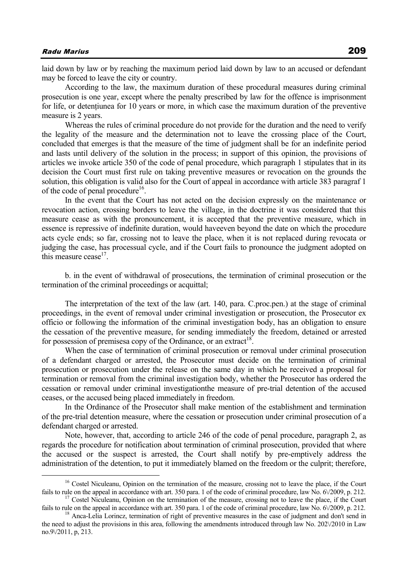laid down by law or by reaching the maximum period laid down by law to an accused or defendant may be forced to leave the city or country.

According to the law, the maximum duration of these procedural measures during criminal prosecution is one year, except where the penalty prescribed by law for the offence is imprisonment for life, or detentiunea for 10 years or more, in which case the maximum duration of the preventive measure is 2 years.

Whereas the rules of criminal procedure do not provide for the duration and the need to verify the legality of the measure and the determination not to leave the crossing place of the Court, concluded that emerges is that the measure of the time of judgment shall be for an indefinite period and lasts until delivery of the solution in the process; in support of this opinion, the provisions of articles we invoke article 350 of the code of penal procedure, which paragraph 1 stipulates that in its decision the Court must first rule on taking preventive measures or revocation on the grounds the solution, this obligation is valid also for the Court of appeal in accordance with article 383 paragraf 1 of the code of penal procedure<sup>16</sup>.

In the event that the Court has not acted on the decision expressly on the maintenance or revocation action, crossing borders to leave the village, in the doctrine it was considered that this measure cease as with the pronouncement, it is accepted that the preventive measure, which in essence is repressive of indefinite duration, would haveeven beyond the date on which the procedure acts cycle ends; so far, crossing not to leave the place, when it is not replaced during revocata or judging the case, has processual cycle, and if the Court fails to pronounce the judgment adopted on this measure cease $17$ .

b. in the event of withdrawal of prosecutions, the termination of criminal prosecution or the termination of the criminal proceedings or acquittal;

The interpretation of the text of the law (art. 140, para. C.proc.pen.) at the stage of criminal proceedings, in the event of removal under criminal investigation or prosecution, the Prosecutor ex officio or following the information of the criminal investigation body, has an obligation to ensure the cessation of the preventive measure, for sending immediately the freedom, detained or arrested for possession of premisesa copy of the Ordinance, or an extract<sup>18</sup>.

When the case of termination of criminal prosecution or removal under criminal prosecution of a defendant charged or arrested, the Prosecutor must decide on the termination of criminal prosecution or prosecution under the release on the same day in which he received a proposal for termination or removal from the criminal investigation body, whether the Prosecutor has ordered the cessation or removal under criminal investigationthe measure of pre-trial detention of the accused ceases, or the accused being placed immediately in freedom.

In the Ordinance of the Prosecutor shall make mention of the establishment and termination of the pre-trial detention measure, where the cessation or prosecution under criminal prosecution of a defendant charged or arrested.

Note, however, that, according to article 246 of the code of penal procedure, paragraph 2, as regards the procedure for notification about termination of criminal prosecution, provided that where the accused or the suspect is arrested, the Court shall notify by pre-emptively address the administration of the detention, to put it immediately blamed on the freedom or the culprit; therefore,

<sup>&</sup>lt;sup>16</sup> Costel Niculeanu, Opinion on the termination of the measure, crossing not to leave the place, if the Court fails to rule on the appeal in accordance with art. 350 para. 1 of the code of criminal procedure, law No. 6 $\sqrt{2009}$ , p. 212.<br><sup>17</sup> Costel Niculeanu, Opinion on the termination of the measure, crossing not to leave the p

fails to rule on the appeal in accordance with art. 350 para. 1 of the code of criminal procedure, law No.  $6\sqrt{2009}$ , p. 212.<br><sup>18</sup> Anca-Lelia Lorincz, termination of right of preventive measures in the case of judgment

the need to adjust the provisions in this area, following the amendments introduced through law No. 202 $\sqrt{2010}$  in Law no.9\/2011, p, 213.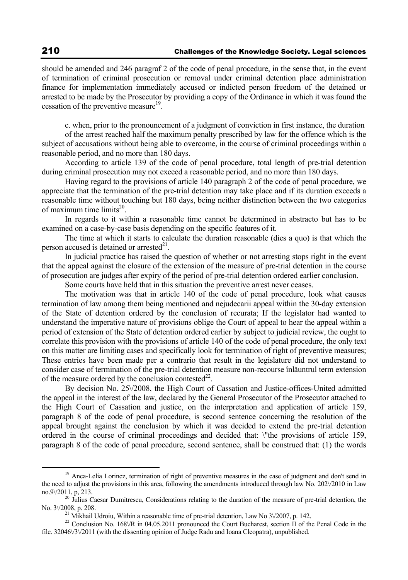should be amended and 246 paragraf 2 of the code of penal procedure, in the sense that, in the event of termination of criminal prosecution or removal under criminal detention place administration finance for implementation immediately accused or indicted person freedom of the detained or arrested to be made by the Prosecutor by providing a copy of the Ordinance in which it was found the cessation of the preventive measure<sup>19</sup>.

c. when, prior to the pronouncement of a judgment of conviction in first instance, the duration of the arrest reached half the maximum penalty prescribed by law for the offence which is the

subject of accusations without being able to overcome, in the course of criminal proceedings within a reasonable period, and no more than 180 days.

According to article 139 of the code of penal procedure, total length of pre-trial detention during criminal prosecution may not exceed a reasonable period, and no more than 180 days.

Having regard to the provisions of article 140 paragraph 2 of the code of penal procedure, we appreciate that the termination of the pre-trial detention may take place and if its duration exceeds a reasonable time without touching but 180 days, being neither distinction between the two categories of maximum time limits $^{20}$ .

In regards to it within a reasonable time cannot be determined in abstracto but has to be examined on a case-by-case basis depending on the specific features of it.

The time at which it starts to calculate the duration reasonable (dies a quo) is that which the person accused is detained or arrested $^{21}$ .

In judicial practice has raised the question of whether or not arresting stops right in the event that the appeal against the closure of the extension of the measure of pre-trial detention in the course of prosecution are judges after expiry of the period of pre-trial detention ordered earlier conclusion.

Some courts have held that in this situation the preventive arrest never ceases.

The motivation was that in article 140 of the code of penal procedure, look what causes termination of law among them being mentioned and nejudecarii appeal within the 30-day extension of the State of detention ordered by the conclusion of recurata; If the legislator had wanted to understand the imperative nature of provisions oblige the Court of appeal to hear the appeal within a period of extension of the State of detention ordered earlier by subject to judicial review, the ought to correlate this provision with the provisions of article 140 of the code of penal procedure, the only text on this matter are limiting cases and specifically look for termination of right of preventive measures; These entries have been made per a contrario that result in the legislature did not understand to consider case of termination of the pre-trial detention measure non-recourse înlăuntrul term extension of the measure ordered by the conclusion contested<sup>22</sup>.

By decision No. 25\/2008, the High Court of Cassation and Justice-offices-United admitted the appeal in the interest of the law, declared by the General Prosecutor of the Prosecutor attached to the High Court of Cassation and justice, on the interpretation and application of article 159, paragraph 8 of the code of penal procedure, is second sentence concerning the resolution of the appeal brought against the conclusion by which it was decided to extend the pre-trial detention ordered in the course of criminal proceedings and decided that: \"the provisions of article 159, paragraph 8 of the code of penal procedure, second sentence, shall be construed that: (1) the words

<sup>&</sup>lt;sup>19</sup> Anca-Lelia Lorincz, termination of right of preventive measures in the case of judgment and don't send in the need to adjust the provisions in this area, following the amendments introduced through law No. 202 $\sqrt{2010}$  in Law no.9 $\sqrt{2011}$ , p, 213. <sup>20</sup> Julius Caesar Dumitrescu, Considerations relating to the duration of the measure of pre-trial detention, the

No. 3 $\frac{1}{21}$  Mikhail Udroiu, Within a reasonable time of pre-trial detention, Law No 3 $\frac{1}{22}$ , p. 142.<br><sup>22</sup> Conclusion No. 168 $\sqrt{R}$  in 04.05.2011 pronounced the Court Bucharest, section II of the Penal Code in the

file. 32046\/3\/2011 (with the dissenting opinion of Judge Radu and Ioana Cleopatra), unpublished.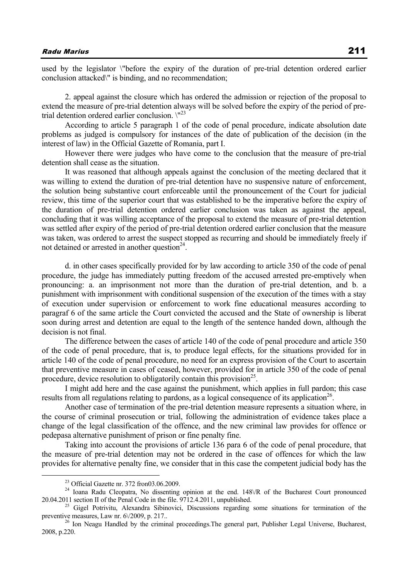used by the legislator \"before the expiry of the duration of pre-trial detention ordered earlier conclusion attacked\" is binding, and no recommendation;

2. appeal against the closure which has ordered the admission or rejection of the proposal to extend the measure of pre-trial detention always will be solved before the expiry of the period of pretrial detention ordered earlier conclusion.  $\mathbb{R}^{23}$ 

According to article 5 paragraph 1 of the code of penal procedure, indicate absolution date problems as judged is compulsory for instances of the date of publication of the decision (in the interest of law) in the Official Gazette of Romania, part I.

However there were judges who have come to the conclusion that the measure of pre-trial detention shall cease as the situation.

It was reasoned that although appeals against the conclusion of the meeting declared that it was willing to extend the duration of pre-trial detention have no suspensive nature of enforcement, the solution being substantive court enforceable until the pronouncement of the Court for judicial review, this time of the superior court that was established to be the imperative before the expiry of the duration of pre-trial detention ordered earlier conclusion was taken as against the appeal, concluding that it was willing acceptance of the proposal to extend the measure of pre-trial detention was settled after expiry of the period of pre-trial detention ordered earlier conclusion that the measure was taken, was ordered to arrest the suspect stopped as recurring and should be immediately freely if not detained or arrested in another question $^{24}$ .

d. in other cases specifically provided for by law according to article 350 of the code of penal procedure, the judge has immediately putting freedom of the accused arrested pre-emptively when pronouncing: a. an imprisonment not more than the duration of pre-trial detention, and b. a punishment with imprisonment with conditional suspension of the execution of the times with a stay of execution under supervision or enforcement to work fine educational measures according to paragraf 6 of the same article the Court convicted the accused and the State of ownership is liberat soon during arrest and detention are equal to the length of the sentence handed down, although the decision is not final.

The difference between the cases of article 140 of the code of penal procedure and article 350 of the code of penal procedure, that is, to produce legal effects, for the situations provided for in article 140 of the code of penal procedure, no need for an express provision of the Court to ascertain that preventive measure in cases of ceased, however, provided for in article 350 of the code of penal procedure, device resolution to obligatorily contain this provision<sup>25</sup>.

I might add here and the case against the punishment, which applies in full pardon; this case results from all regulations relating to pardons, as a logical consequence of its application<sup>26</sup>.

Another case of termination of the pre-trial detention measure represents a situation where, in the course of criminal prosecution or trial, following the administration of evidence takes place a change of the legal classification of the offence, and the new criminal law provides for offence or pedepasa alternative punishment of prison or fine penalty fine.

Taking into account the provisions of article 136 para 6 of the code of penal procedure, that the measure of pre-trial detention may not be ordered in the case of offences for which the law provides for alternative penalty fine, we consider that in this case the competent judicial body has the

 <sup>23</sup> Official Gazette nr. 372 fron03.06.2009.

<sup>&</sup>lt;sup>24</sup> Ioana Radu Cleopatra, No dissenting opinion at the end.  $148\sqrt{R}$  of the Bucharest Court pronounced 20.04.2011 section II of the Penal Code in the file. 9712.4.2011, unpublished.

<sup>&</sup>lt;sup>25</sup> Gigel Potrivitu, Alexandra Sibinovici, Discussions regarding some situations for termination of the preventive measures, Law nr. 6 $\sqrt{2009}$ , p. 217.. 26 Ion Neagu Handled by the criminal proceedings. The general part, Publisher Legal Universe, Bucharest,

<sup>2008,</sup> p.220.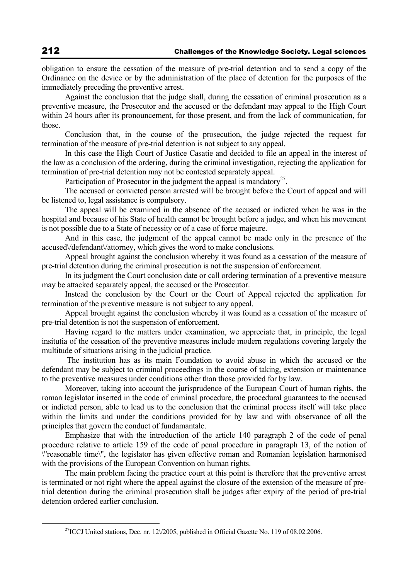obligation to ensure the cessation of the measure of pre-trial detention and to send a copy of the Ordinance on the device or by the administration of the place of detention for the purposes of the immediately preceding the preventive arrest.

Against the conclusion that the judge shall, during the cessation of criminal prosecution as a preventive measure, the Prosecutor and the accused or the defendant may appeal to the High Court within 24 hours after its pronouncement, for those present, and from the lack of communication, for those.

Conclusion that, in the course of the prosecution, the judge rejected the request for termination of the measure of pre-trial detention is not subject to any appeal.

In this case the High Court of Justice Casatie and decided to file an appeal in the interest of the law as a conclusion of the ordering, during the criminal investigation, rejecting the application for termination of pre-trial detention may not be contested separately appeal.

Participation of Prosecutor in the judgment the appeal is mandatory<sup>27</sup>.

The accused or convicted person arrested will be brought before the Court of appeal and will be listened to, legal assistance is compulsory.

The appeal will be examined in the absence of the accused or indicted when he was in the hospital and because of his State of health cannot be brought before a judge, and when his movement is not possible due to a State of necessity or of a case of force majeure.

And in this case, the judgment of the appeal cannot be made only in the presence of the accused\/defendant\/attorney, which gives the word to make conclusions.

Appeal brought against the conclusion whereby it was found as a cessation of the measure of pre-trial detention during the criminal prosecution is not the suspension of enforcement.

In its judgment the Court conclusion date or call ordering termination of a preventive measure may be attacked separately appeal, the accused or the Prosecutor.

Instead the conclusion by the Court or the Court of Appeal rejected the application for termination of the preventive measure is not subject to any appeal.

Appeal brought against the conclusion whereby it was found as a cessation of the measure of pre-trial detention is not the suspension of enforcement.

Having regard to the matters under examination, we appreciate that, in principle, the legal insitutia of the cessation of the preventive measures include modern regulations covering largely the multitude of situations arising in the judicial practice.

 The institution has as its main Foundation to avoid abuse in which the accused or the defendant may be subject to criminal proceedings in the course of taking, extension or maintenance to the preventive measures under conditions other than those provided for by law.

Moreover, taking into account the jurisprudence of the European Court of human rights, the roman legislator inserted in the code of criminal procedure, the procedural guarantees to the accused or indicted person, able to lead us to the conclusion that the criminal process itself will take place within the limits and under the conditions provided for by law and with observance of all the principles that govern the conduct of fundamantale.

Emphasize that with the introduction of the article 140 paragraph 2 of the code of penal procedure relative to article 159 of the code of penal procedure in paragraph 13, of the notion of \"reasonable time\", the legislator has given effective roman and Romanian legislation harmonised with the provisions of the European Convention on human rights.

The main problem facing the practice court at this point is therefore that the preventive arrest is terminated or not right where the appeal against the closure of the extension of the measure of pretrial detention during the criminal prosecution shall be judges after expiry of the period of pre-trial detention ordered earlier conclusion.

<sup>&</sup>lt;sup>27</sup> ICCJ United stations, Dec. nr. 12 $\sqrt{2005}$ , published in Official Gazette No. 119 of 08.02.2006.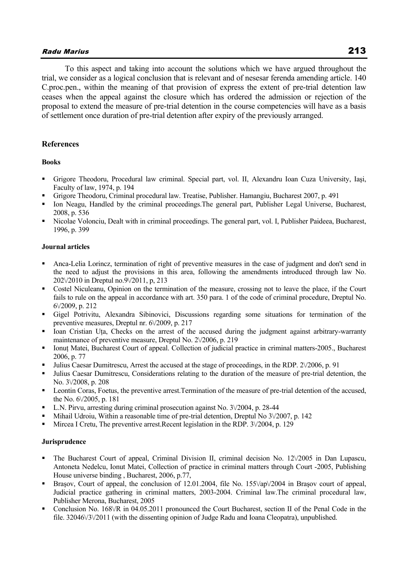# Radu Marius 213

To this aspect and taking into account the solutions which we have argued throughout the trial, we consider as a logical conclusion that is relevant and of nesesar ferenda amending article. 140 C.proc.pen., within the meaning of that provision of express the extent of pre-trial detention law ceases when the appeal against the closure which has ordered the admission or rejection of the proposal to extend the measure of pre-trial detention in the course competencies will have as a basis of settlement once duration of pre-trial detention after expiry of the previously arranged.

# **References**

# **Books**

- Grigore Theodoru, Procedural law criminal. Special part, vol. II, Alexandru Ioan Cuza University, Iaşi, Faculty of law, 1974, p. 194
- Grigore Theodoru, Criminal procedural law. Treatise, Publisher. Hamangiu, Bucharest 2007, p. 491
- Ion Neagu, Handled by the criminal proceedings.The general part, Publisher Legal Universe, Bucharest, 2008, p. 536
- Nicolae Volonciu, Dealt with in criminal proceedings. The general part, vol. I, Publisher Paideea, Bucharest, 1996, p. 399

#### **Journal articles**

- Anca-Lelia Lorincz, termination of right of preventive measures in the case of judgment and don't send in the need to adjust the provisions in this area, following the amendments introduced through law No. 202\/2010 in Dreptul no.9\/2011, p, 213
- Costel Niculeanu, Opinion on the termination of the measure, crossing not to leave the place, if the Court fails to rule on the appeal in accordance with art. 350 para. 1 of the code of criminal procedure, Dreptul No. 6\/2009, p. 212
- Gigel Potrivitu, Alexandra Sibinovici, Discussions regarding some situations for termination of the preventive measures, Dreptul nr. 6\/2009, p. 217
- Ioan Cristian Uţa, Checks on the arrest of the accused during the judgment against arbitrary-warranty maintenance of preventive measure, Dreptul No. 2\/2006, p. 219
- Ionut Matei, Bucharest Court of appeal. Collection of judicial practice in criminal matters-2005., Bucharest 2006, p. 77
- Julius Caesar Dumitrescu, Arrest the accused at the stage of proceedings, in the RDP. 2\/2006, p. 91
- Julius Caesar Dumitrescu, Considerations relating to the duration of the measure of pre-trial detention, the No. 3\/2008, p. 208
- Leontin Coras, Foetus, the preventive arrest.Termination of the measure of pre-trial detention of the accused, the No. 6\/2005, p. 181
- L.N. Pirvu, arresting during criminal prosecution against No. 3\/2004, p. 28-44
- Mihail Udroiu, Within a reasonable time of pre-trial detention, Dreptul No 3\/2007, p. 142
- Mircea I Cretu, The preventive arrest.Recent legislation in the RDP. 3\/2004, p. 129

#### **Jurisprudence**

- The Bucharest Court of appeal, Criminal Division II, criminal decision No. 12\/2005 in Dan Lupascu, Antoneta Nedelcu, Ionut Matei, Collection of practice in criminal matters through Court -2005, Publishing House universe binding , Bucharest, 2006, p.77,
- Brasov, Court of appeal, the conclusion of 12.01.2004, file No. 155 $\sqrt{2004}$  in Brasov court of appeal, Judicial practice gathering in criminal matters, 2003-2004. Criminal law.The criminal procedural law, Publisher Merona, Bucharest, 2005
- Conclusion No. 168\/R in 04.05.2011 pronounced the Court Bucharest, section II of the Penal Code in the file. 32046\/3\/2011 (with the dissenting opinion of Judge Radu and Ioana Cleopatra), unpublished.